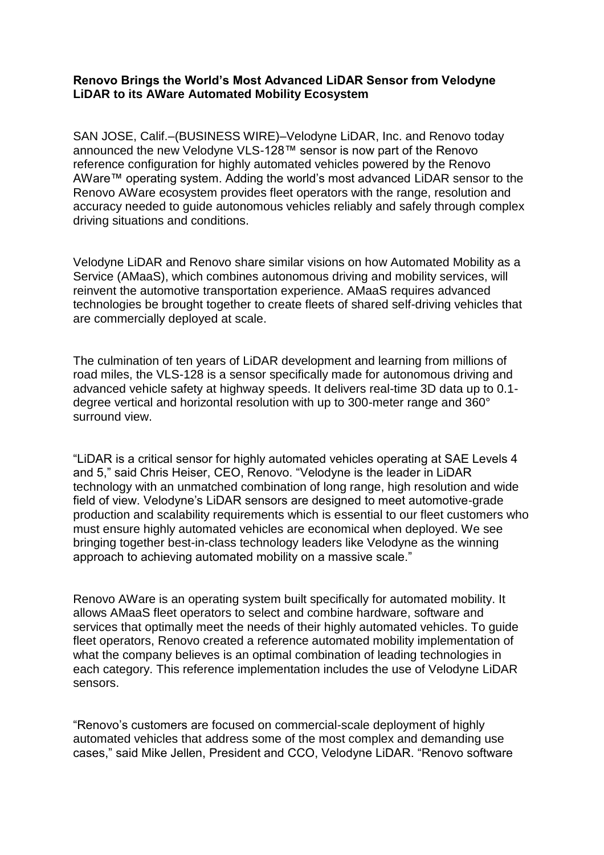## **Renovo Brings the World's Most Advanced LiDAR Sensor from Velodyne LiDAR to its AWare Automated Mobility Ecosystem**

SAN JOSE, Calif.–(BUSINESS WIRE)–Velodyne LiDAR, Inc. and Renovo today announced the new Velodyne VLS-128™ sensor is now part of the Renovo reference configuration for highly automated vehicles powered by the Renovo AWare™ operating system. Adding the world's most advanced LiDAR sensor to the Renovo AWare ecosystem provides fleet operators with the range, resolution and accuracy needed to guide autonomous vehicles reliably and safely through complex driving situations and conditions.

Velodyne LiDAR and Renovo share similar visions on how Automated Mobility as a Service (AMaaS), which combines autonomous driving and mobility services, will reinvent the automotive transportation experience. AMaaS requires advanced technologies be brought together to create fleets of shared self-driving vehicles that are commercially deployed at scale.

The culmination of ten years of LiDAR development and learning from millions of road miles, the VLS-128 is a sensor specifically made for autonomous driving and advanced vehicle safety at highway speeds. It delivers real-time 3D data up to 0.1 degree vertical and horizontal resolution with up to 300-meter range and 360° surround view.

"LiDAR is a critical sensor for highly automated vehicles operating at SAE Levels 4 and 5," said Chris Heiser, CEO, Renovo. "Velodyne is the leader in LiDAR technology with an unmatched combination of long range, high resolution and wide field of view. Velodyne's LiDAR sensors are designed to meet automotive-grade production and scalability requirements which is essential to our fleet customers who must ensure highly automated vehicles are economical when deployed. We see bringing together best-in-class technology leaders like Velodyne as the winning approach to achieving automated mobility on a massive scale."

Renovo AWare is an operating system built specifically for automated mobility. It allows AMaaS fleet operators to select and combine hardware, software and services that optimally meet the needs of their highly automated vehicles. To guide fleet operators, Renovo created a reference automated mobility implementation of what the company believes is an optimal combination of leading technologies in each category. This reference implementation includes the use of Velodyne LiDAR sensors.

"Renovo's customers are focused on commercial-scale deployment of highly automated vehicles that address some of the most complex and demanding use cases," said Mike Jellen, President and CCO, Velodyne LiDAR. "Renovo software